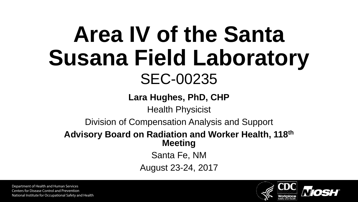# **Area IV of the Santa Susana Field Laboratory** SEC-00235

**Lara Hughes, PhD, CHP**

Health Physicist

Division of Compensation Analysis and Support

#### **Advisory Board on Radiation and Worker Health, 118th Meeting**

Santa Fe, NM

August 23-24, 2017

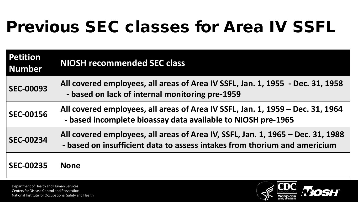## Previous SEC classes for Area IV SSFL

| <b>Petition</b><br><b>Number</b> | <b>NIOSH recommended SEC class</b>                                                                                                                           |
|----------------------------------|--------------------------------------------------------------------------------------------------------------------------------------------------------------|
| <b>SEC-00093</b>                 | All covered employees, all areas of Area IV SSFL, Jan. 1, 1955 - Dec. 31, 1958<br>- based on lack of internal monitoring pre-1959                            |
| <b>SEC-00156</b>                 | All covered employees, all areas of Area IV SSFL, Jan. 1, 1959 - Dec. 31, 1964<br>- based incomplete bioassay data available to NIOSH pre-1965               |
| <b>SEC-00234</b>                 | All covered employees, all areas of Area IV, SSFL, Jan. 1, 1965 – Dec. 31, 1988<br>- based on insufficient data to assess intakes from thorium and americium |
| <b>SEC-00235</b>                 | <b>None</b>                                                                                                                                                  |

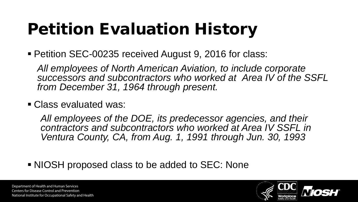# Petition Evaluation History

■ Petition SEC-00235 received August 9, 2016 for class:

*All employees of North American Aviation, to include corporate successors and subcontractors who worked at Area IV of the SSFL from December 31, 1964 through present.*

Class evaluated was:

*All employees of the DOE, its predecessor agencies, and their contractors and subcontractors who worked at Area IV SSFL in Ventura County, CA, from Aug. 1, 1991 through Jun. 30, 1993* 

NIOSH proposed class to be added to SEC: None

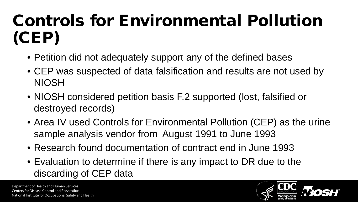## Controls for Environmental Pollution (CEP)

- Petition did not adequately support any of the defined bases
- CEP was suspected of data falsification and results are not used by NIOSH
- NIOSH considered petition basis F.2 supported (lost, falsified or destroyed records)
- Area IV used Controls for Environmental Pollution (CEP) as the urine sample analysis vendor from August 1991 to June 1993
- Research found documentation of contract end in June 1993
- Evaluation to determine if there is any impact to DR due to the discarding of CEP data

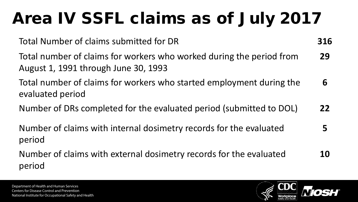# Area IV SSFL claims as of July 2017

Total Number of claims submitted for DR **316**

Total number of claims for workers who worked during the period from August 1, 1991 through June 30, 1993 **29**

Total number of claims for workers who started employment during the evaluated period **6**

Number of DRs completed for the evaluated period (submitted to DOL) **22**

Number of claims with internal dosimetry records for the evaluated period **5**

Number of claims with external dosimetry records for the evaluated period **10**

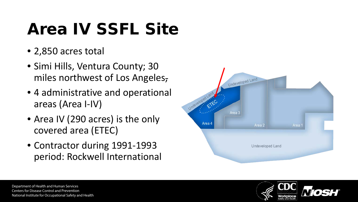## Area IV SSFL Site

- 2,850 acres total
- Simi Hills, Ventura County; 30 miles northwest of Los Angeles,
- 4 administrative and operational areas (Area I-IV)
- Area IV (290 acres) is the only covered area (ETEC)
- Contractor during 1991-1993 period: Rockwell International



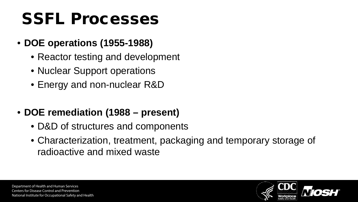## SSFL Processes

- **DOE operations (1955-1988)**
	- Reactor testing and development
	- Nuclear Support operations
	- Energy and non-nuclear R&D
- **DOE remediation (1988 present)**
	- D&D of structures and components
	- Characterization, treatment, packaging and temporary storage of radioactive and mixed waste

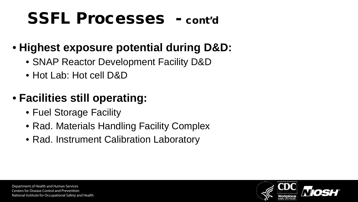### SSFL Processes - cont'd

### • **Highest exposure potential during D&D:**

- SNAP Reactor Development Facility D&D
- Hot Lab: Hot cell D&D

### • **Facilities still operating:**

- Fuel Storage Facility
- Rad. Materials Handling Facility Complex
- Rad. Instrument Calibration Laboratory

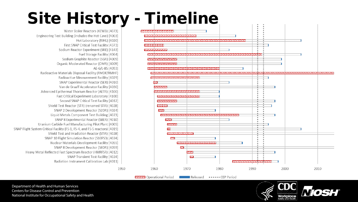### Site History - Timeline

1950



Water Boiler Reactors (KEWB) [4073] Engineering Test Building (includes the Hot Cave) [4003] Hot Laboratory (RIHL) [4020] First SNAP Critical Test Facility [4373] Sodium Reactor Experiment (SRE) [4143] Fuel Storage Facility [4064] Sodium Graphite Reactor (SGR) [4009] Organic Moderated Reactor (OMR) [4009] AE-6/L-85 [4093] Radioactive Materials Disposal Facility (RMDF/RMHF) Radioactive Measurement Facility [4029] SNAP Experimental Reactor (SER) [4010] Van de Graaff Accelerator Facility [4030] Advanced Epithermal Thorium Reactor (AETR) [4100] Fast Critical Experiment Laboratory [4100] Second SNAP Critical Test Facility [4012] Shield Test Reactor (STR) (renamed STIR) [4028] SNAP 2 Development Reactor (S2DR) [4024] Liquid Metals Component Test Building [4023] SNAP 8 Experimental Reactor (S8ER) [4010] Uranium Carbide Fuel Manufacturing Pilot Plant [4005] SNAP Flight System Critical Facility (FS-1, FS-4, and FS-5 reactors) [4019] Shield Test and Irradiation Reactor (STIR) [4028] SNAP 10 Flight Simulation Reactor (S10FS3) [4024] Nuclear Materials Development Facility [4055] SNAP 8 Development Reactor (S8DR) [4059] Heavy Metal Reflected Fast Spectrum Reactor (HMRFSR) [4012] SNAP Transient Test Facility [4024] Radiation Instrument Calibration Lab [4011]

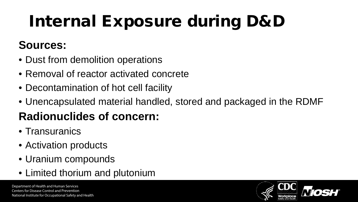# Internal Exposure during D&D

### **Sources:**

- Dust from demolition operations
- Removal of reactor activated concrete
- Decontamination of hot cell facility
- Unencapsulated material handled, stored and packaged in the RDMF

### **Radionuclides of concern:**

- Transuranics
- Activation products
- Uranium compounds
- Limited thorium and plutonium

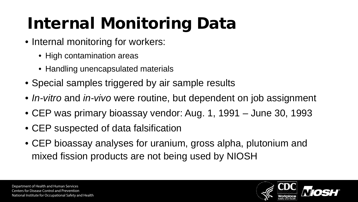# Internal Monitoring Data

- Internal monitoring for workers:
	- High contamination areas
	- Handling unencapsulated materials
- Special samples triggered by air sample results
- *In-vitro* and *in-vivo* were routine, but dependent on job assignment
- CEP was primary bioassay vendor: Aug. 1, 1991 June 30, 1993
- CEP suspected of data falsification
- CEP bioassay analyses for uranium, gross alpha, plutonium and mixed fission products are not being used by NIOSH

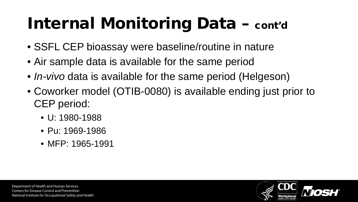# Internal Monitoring Data – cont'd

- SSFL CEP bioassay were baseline/routine in nature
- Air sample data is available for the same period
- *In-vivo* data is available for the same period (Helgeson)
- Coworker model (OTIB-0080) is available ending just prior to CEP period:
	- U: 1980-1988
	- Pu: 1969-1986
	- MFP: 1965-1991



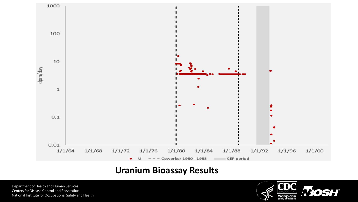

#### **Uranium Bioassay Results**

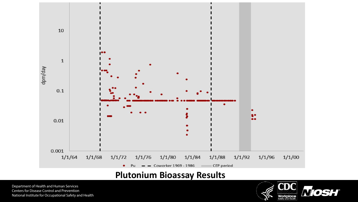

#### **Plutonium Bioassay Results**

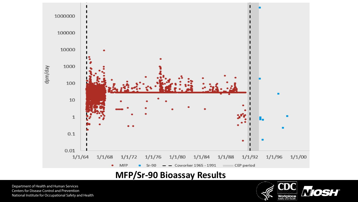

### **MFP/Sr-90 Bioassay Results**

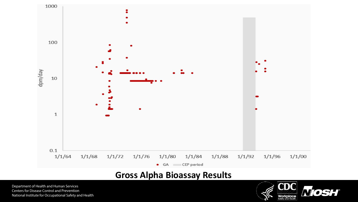

#### **Gross Alpha Bioassay Results**

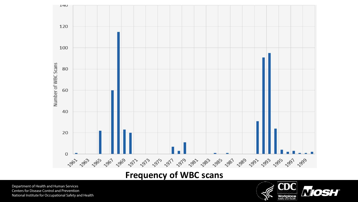

### **Frequency of WBC scans**

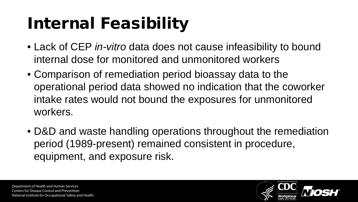# Internal Feasibility

- Lack of CEP *in-vitro* data does not cause infeasibility to bound internal dose for monitored and unmonitored workers
- Comparison of remediation period bioassay data to the operational period data showed no indication that the coworker intake rates would not bound the exposures for unmonitored workers.
- D&D and waste handling operations throughout the remediation period (1989-present) remained consistent in procedure, equipment, and exposure risk.

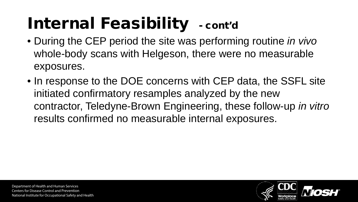# Internal Feasibility - cont'd

- During the CEP period the site was performing routine *in vivo* whole-body scans with Helgeson, there were no measurable exposures.
- In response to the DOE concerns with CEP data, the SSFL site initiated confirmatory resamples analyzed by the new contractor, Teledyne-Brown Engineering, these follow-up *in vitro* results confirmed no measurable internal exposures.